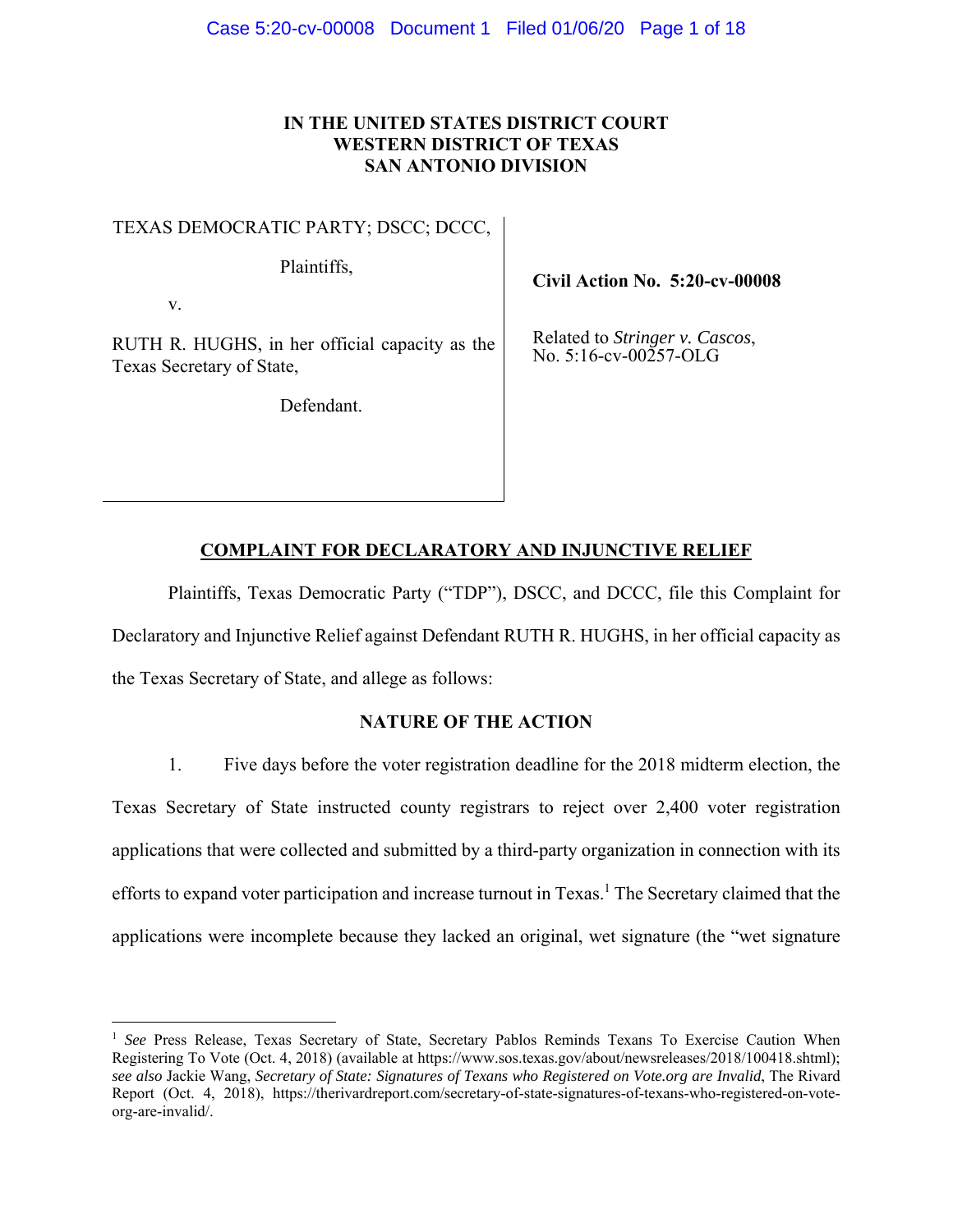# **IN THE UNITED STATES DISTRICT COURT WESTERN DISTRICT OF TEXAS SAN ANTONIO DIVISION**

TEXAS DEMOCRATIC PARTY; DSCC; DCCC,

Plaintiffs,

v.

RUTH R. HUGHS, in her official capacity as the Texas Secretary of State,

Defendant.

**Civil Action No. 5:20-cv-00008**

Related to *Stringer v. Cascos*, No. 5:16-cv-00257-OLG

# **COMPLAINT FOR DECLARATORY AND INJUNCTIVE RELIEF**

Plaintiffs, Texas Democratic Party ("TDP"), DSCC, and DCCC, file this Complaint for Declaratory and Injunctive Relief against Defendant RUTH R. HUGHS, in her official capacity as the Texas Secretary of State, and allege as follows:

# **NATURE OF THE ACTION**

1. Five days before the voter registration deadline for the 2018 midterm election, the Texas Secretary of State instructed county registrars to reject over 2,400 voter registration applications that were collected and submitted by a third-party organization in connection with its efforts to expand voter participation and increase turnout in Texas.<sup>1</sup> The Secretary claimed that the applications were incomplete because they lacked an original, wet signature (the "wet signature

<sup>&</sup>lt;sup>1</sup> See Press Release, Texas Secretary of State, Secretary Pablos Reminds Texans To Exercise Caution When Registering To Vote (Oct. 4, 2018) (available at https://www.sos.texas.gov/about/newsreleases/2018/100418.shtml); *see also* Jackie Wang, *Secretary of State: Signatures of Texans who Registered on Vote.org are Invalid*, The Rivard Report (Oct. 4, 2018), https://therivardreport.com/secretary-of-state-signatures-of-texans-who-registered-on-voteorg-are-invalid/.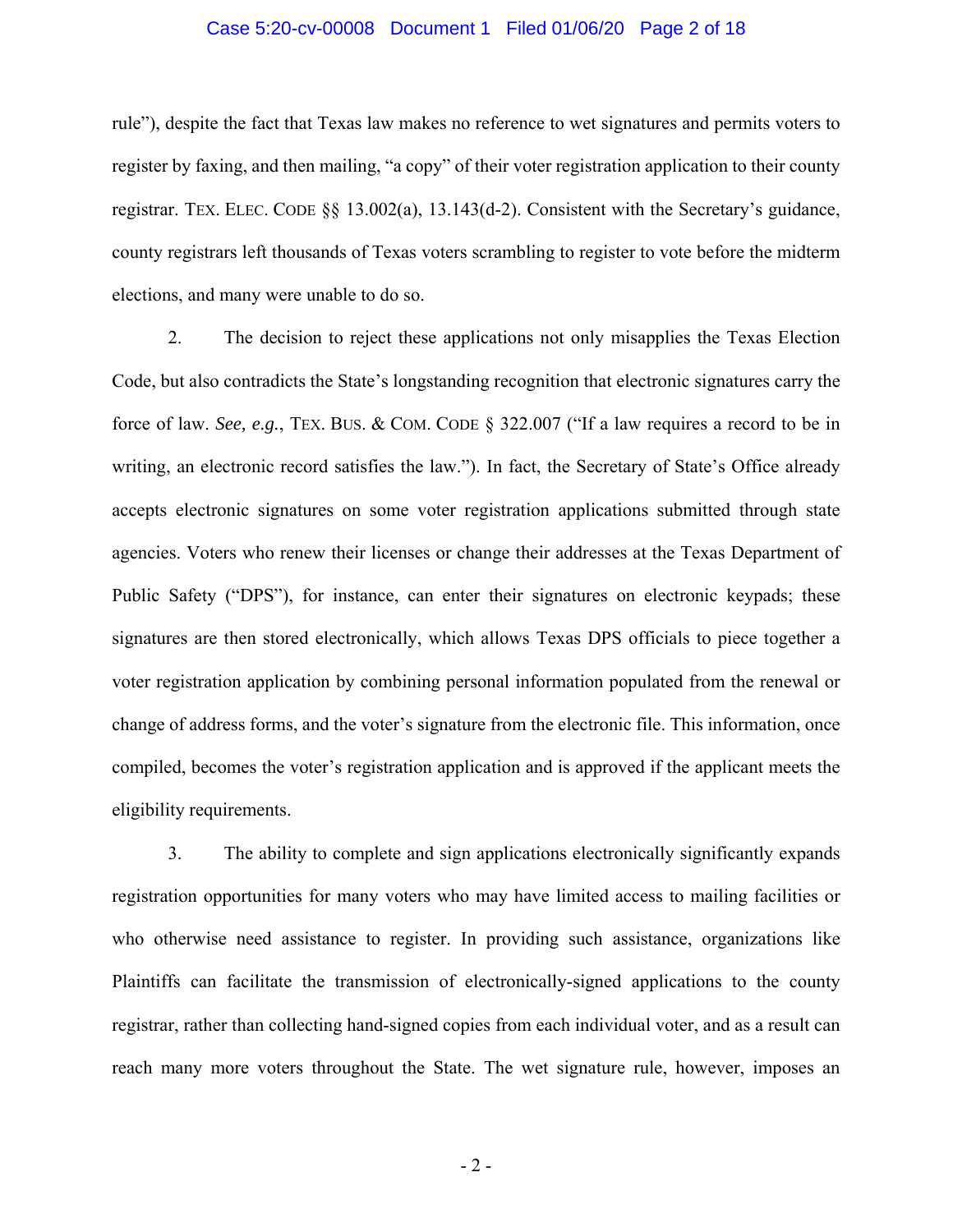### Case 5:20-cv-00008 Document 1 Filed 01/06/20 Page 2 of 18

rule"), despite the fact that Texas law makes no reference to wet signatures and permits voters to register by faxing, and then mailing, "a copy" of their voter registration application to their county registrar. TEX. ELEC. CODE §§ 13.002(a), 13.143(d-2). Consistent with the Secretary's guidance, county registrars left thousands of Texas voters scrambling to register to vote before the midterm elections, and many were unable to do so.

2. The decision to reject these applications not only misapplies the Texas Election Code, but also contradicts the State's longstanding recognition that electronic signatures carry the force of law. *See, e.g.*, TEX. BUS. & COM. CODE § 322.007 ("If a law requires a record to be in writing, an electronic record satisfies the law."). In fact, the Secretary of State's Office already accepts electronic signatures on some voter registration applications submitted through state agencies. Voters who renew their licenses or change their addresses at the Texas Department of Public Safety ("DPS"), for instance, can enter their signatures on electronic keypads; these signatures are then stored electronically, which allows Texas DPS officials to piece together a voter registration application by combining personal information populated from the renewal or change of address forms, and the voter's signature from the electronic file. This information, once compiled, becomes the voter's registration application and is approved if the applicant meets the eligibility requirements.

3. The ability to complete and sign applications electronically significantly expands registration opportunities for many voters who may have limited access to mailing facilities or who otherwise need assistance to register. In providing such assistance, organizations like Plaintiffs can facilitate the transmission of electronically-signed applications to the county registrar, rather than collecting hand-signed copies from each individual voter, and as a result can reach many more voters throughout the State. The wet signature rule, however, imposes an

 $-2-$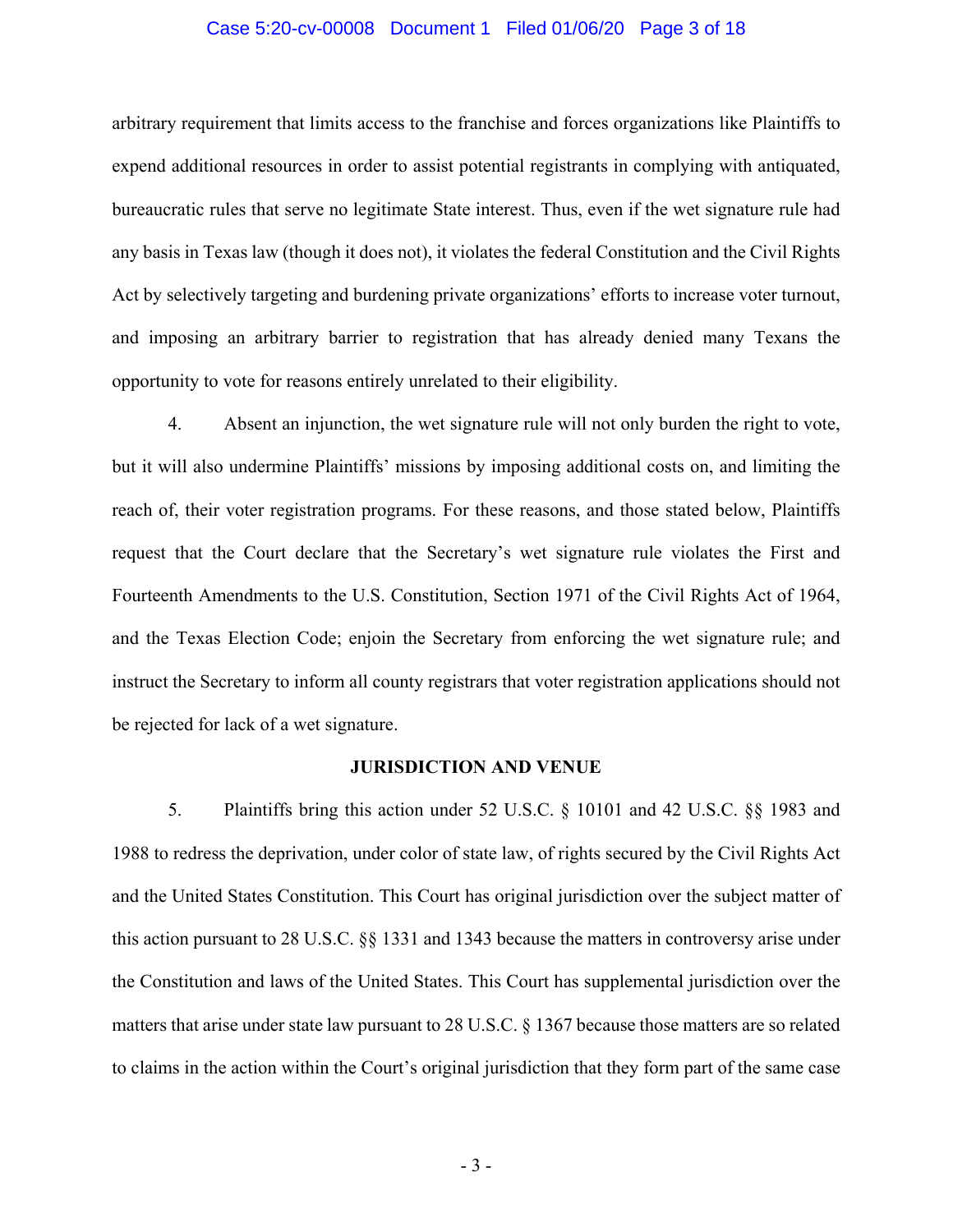### Case 5:20-cv-00008 Document 1 Filed 01/06/20 Page 3 of 18

arbitrary requirement that limits access to the franchise and forces organizations like Plaintiffs to expend additional resources in order to assist potential registrants in complying with antiquated, bureaucratic rules that serve no legitimate State interest. Thus, even if the wet signature rule had any basis in Texas law (though it does not), it violates the federal Constitution and the Civil Rights Act by selectively targeting and burdening private organizations' efforts to increase voter turnout, and imposing an arbitrary barrier to registration that has already denied many Texans the opportunity to vote for reasons entirely unrelated to their eligibility.

4. Absent an injunction, the wet signature rule will not only burden the right to vote, but it will also undermine Plaintiffs' missions by imposing additional costs on, and limiting the reach of, their voter registration programs. For these reasons, and those stated below, Plaintiffs request that the Court declare that the Secretary's wet signature rule violates the First and Fourteenth Amendments to the U.S. Constitution, Section 1971 of the Civil Rights Act of 1964, and the Texas Election Code; enjoin the Secretary from enforcing the wet signature rule; and instruct the Secretary to inform all county registrars that voter registration applications should not be rejected for lack of a wet signature.

#### **JURISDICTION AND VENUE**

5. Plaintiffs bring this action under 52 U.S.C. § 10101 and 42 U.S.C. §§ 1983 and 1988 to redress the deprivation, under color of state law, of rights secured by the Civil Rights Act and the United States Constitution. This Court has original jurisdiction over the subject matter of this action pursuant to 28 U.S.C. §§ 1331 and 1343 because the matters in controversy arise under the Constitution and laws of the United States. This Court has supplemental jurisdiction over the matters that arise under state law pursuant to 28 U.S.C. § 1367 because those matters are so related to claims in the action within the Court's original jurisdiction that they form part of the same case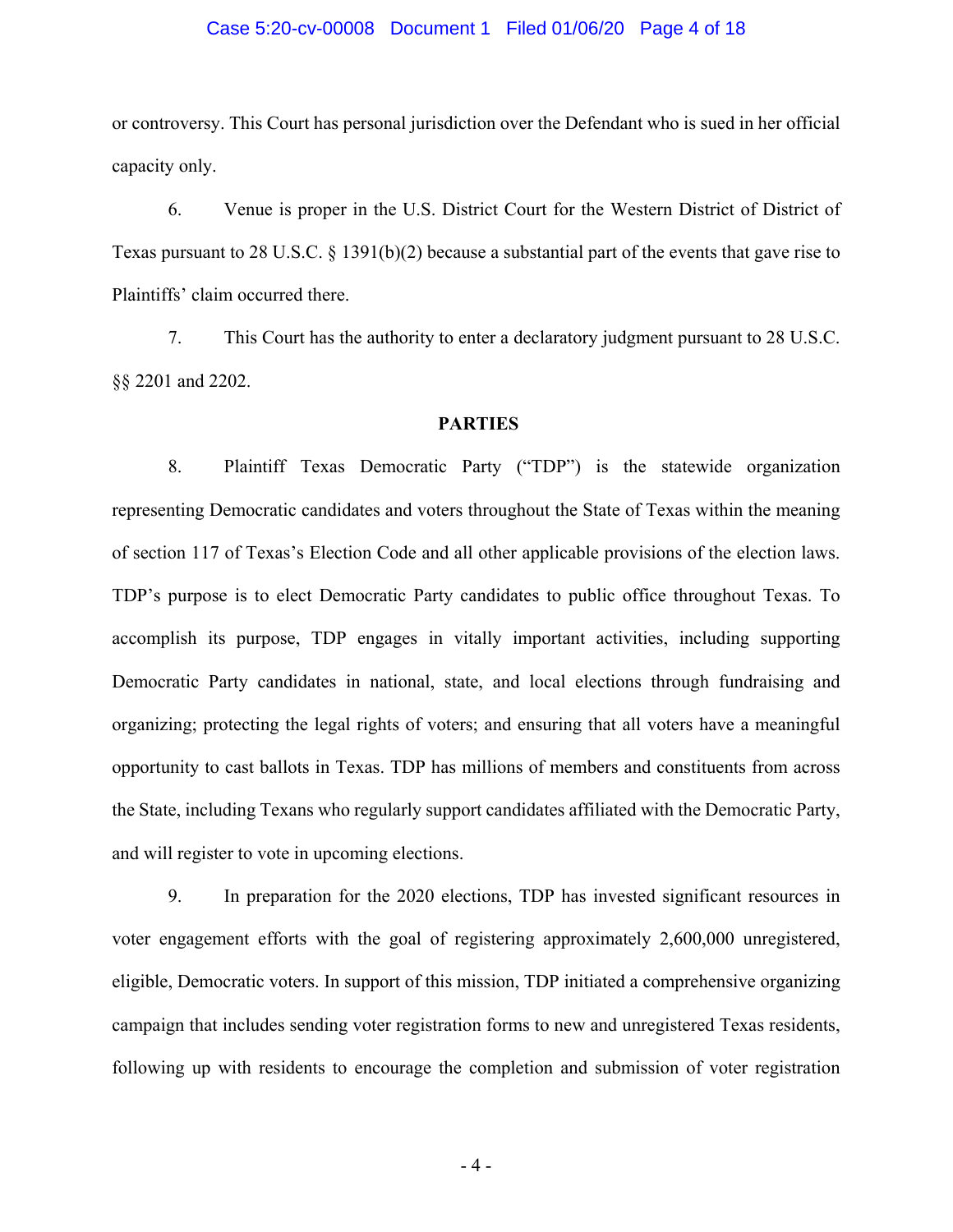#### Case 5:20-cv-00008 Document 1 Filed 01/06/20 Page 4 of 18

or controversy. This Court has personal jurisdiction over the Defendant who is sued in her official capacity only.

6. Venue is proper in the U.S. District Court for the Western District of District of Texas pursuant to 28 U.S.C. § 1391(b)(2) because a substantial part of the events that gave rise to Plaintiffs' claim occurred there.

7. This Court has the authority to enter a declaratory judgment pursuant to 28 U.S.C. §§ 2201 and 2202.

### **PARTIES**

8. Plaintiff Texas Democratic Party ("TDP") is the statewide organization representing Democratic candidates and voters throughout the State of Texas within the meaning of section 117 of Texas's Election Code and all other applicable provisions of the election laws. TDP's purpose is to elect Democratic Party candidates to public office throughout Texas. To accomplish its purpose, TDP engages in vitally important activities, including supporting Democratic Party candidates in national, state, and local elections through fundraising and organizing; protecting the legal rights of voters; and ensuring that all voters have a meaningful opportunity to cast ballots in Texas. TDP has millions of members and constituents from across the State, including Texans who regularly support candidates affiliated with the Democratic Party, and will register to vote in upcoming elections.

9. In preparation for the 2020 elections, TDP has invested significant resources in voter engagement efforts with the goal of registering approximately 2,600,000 unregistered, eligible, Democratic voters. In support of this mission, TDP initiated a comprehensive organizing campaign that includes sending voter registration forms to new and unregistered Texas residents, following up with residents to encourage the completion and submission of voter registration

 $-4-$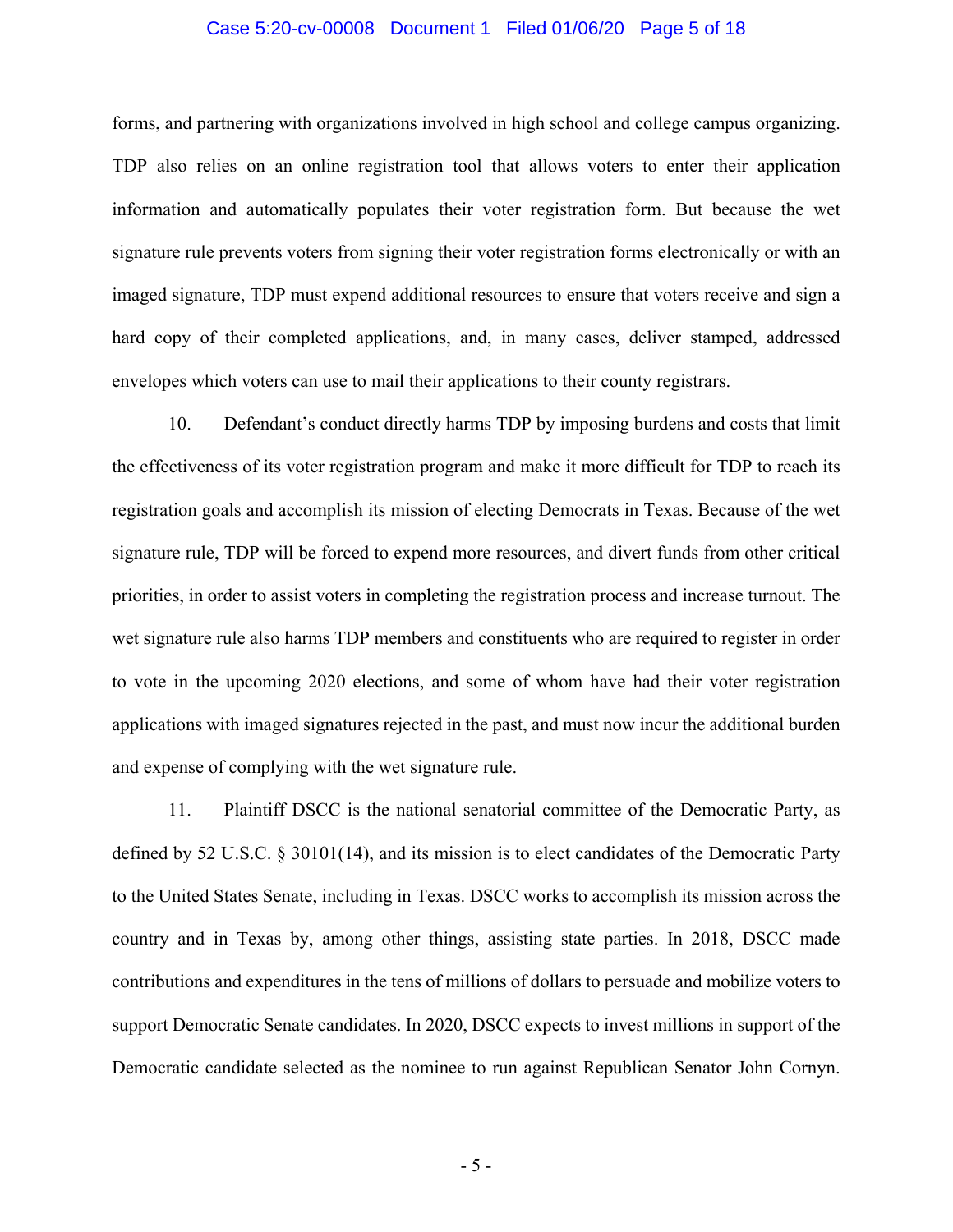### Case 5:20-cv-00008 Document 1 Filed 01/06/20 Page 5 of 18

forms, and partnering with organizations involved in high school and college campus organizing. TDP also relies on an online registration tool that allows voters to enter their application information and automatically populates their voter registration form. But because the wet signature rule prevents voters from signing their voter registration forms electronically or with an imaged signature, TDP must expend additional resources to ensure that voters receive and sign a hard copy of their completed applications, and, in many cases, deliver stamped, addressed envelopes which voters can use to mail their applications to their county registrars.

10. Defendant's conduct directly harms TDP by imposing burdens and costs that limit the effectiveness of its voter registration program and make it more difficult for TDP to reach its registration goals and accomplish its mission of electing Democrats in Texas. Because of the wet signature rule, TDP will be forced to expend more resources, and divert funds from other critical priorities, in order to assist voters in completing the registration process and increase turnout. The wet signature rule also harms TDP members and constituents who are required to register in order to vote in the upcoming 2020 elections, and some of whom have had their voter registration applications with imaged signatures rejected in the past, and must now incur the additional burden and expense of complying with the wet signature rule.

11. Plaintiff DSCC is the national senatorial committee of the Democratic Party, as defined by 52 U.S.C. § 30101(14), and its mission is to elect candidates of the Democratic Party to the United States Senate, including in Texas. DSCC works to accomplish its mission across the country and in Texas by, among other things, assisting state parties. In 2018, DSCC made contributions and expenditures in the tens of millions of dollars to persuade and mobilize voters to support Democratic Senate candidates. In 2020, DSCC expects to invest millions in support of the Democratic candidate selected as the nominee to run against Republican Senator John Cornyn.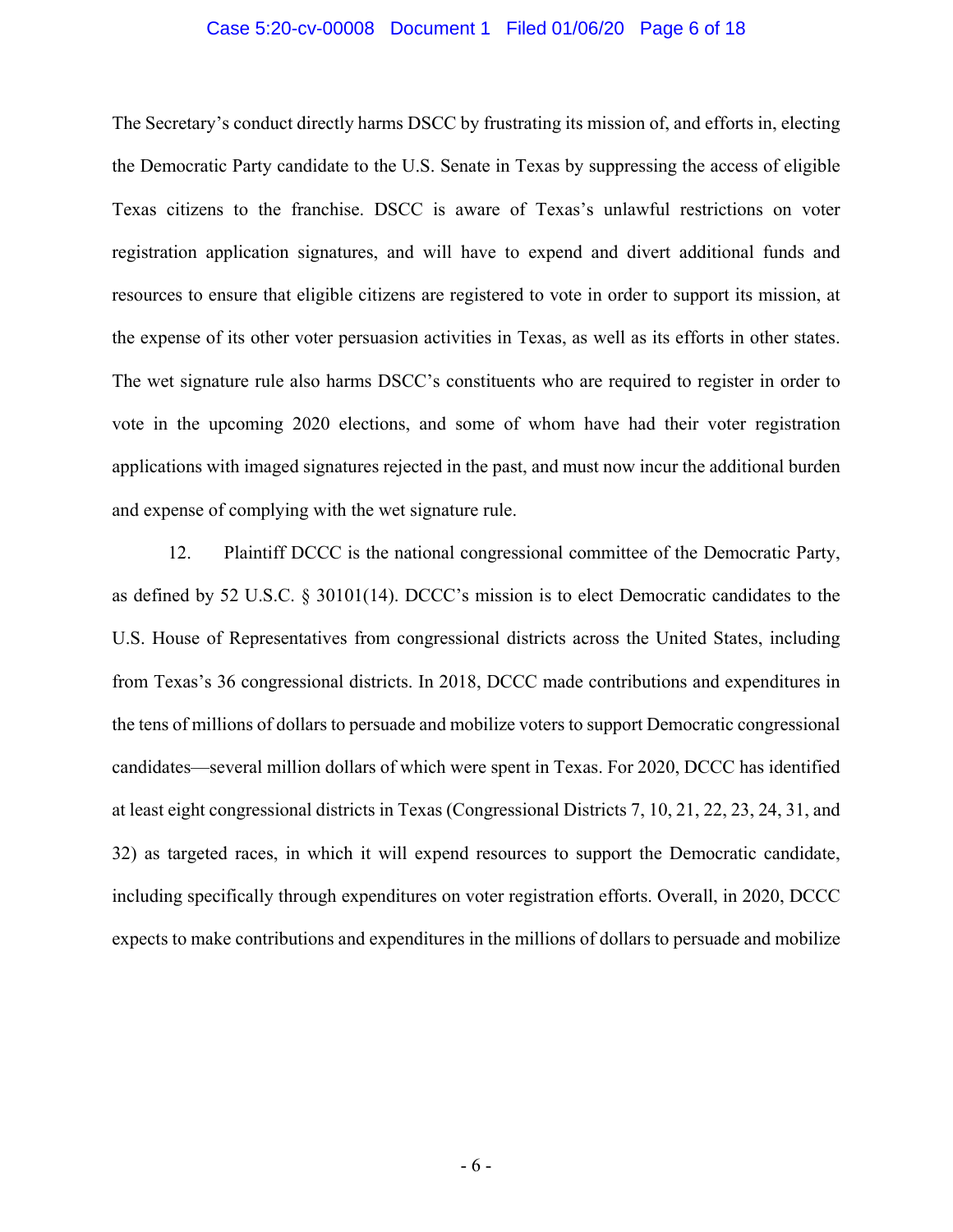#### Case 5:20-cv-00008 Document 1 Filed 01/06/20 Page 6 of 18

The Secretary's conduct directly harms DSCC by frustrating its mission of, and efforts in, electing the Democratic Party candidate to the U.S. Senate in Texas by suppressing the access of eligible Texas citizens to the franchise. DSCC is aware of Texas's unlawful restrictions on voter registration application signatures, and will have to expend and divert additional funds and resources to ensure that eligible citizens are registered to vote in order to support its mission, at the expense of its other voter persuasion activities in Texas, as well as its efforts in other states. The wet signature rule also harms DSCC's constituents who are required to register in order to vote in the upcoming 2020 elections, and some of whom have had their voter registration applications with imaged signatures rejected in the past, and must now incur the additional burden and expense of complying with the wet signature rule.

12. Plaintiff DCCC is the national congressional committee of the Democratic Party, as defined by 52 U.S.C. § 30101(14). DCCC's mission is to elect Democratic candidates to the U.S. House of Representatives from congressional districts across the United States, including from Texas's 36 congressional districts. In 2018, DCCC made contributions and expenditures in the tens of millions of dollars to persuade and mobilize voters to support Democratic congressional candidates—several million dollars of which were spent in Texas. For 2020, DCCC has identified at least eight congressional districts in Texas (Congressional Districts 7, 10, 21, 22, 23, 24, 31, and 32) as targeted races, in which it will expend resources to support the Democratic candidate, including specifically through expenditures on voter registration efforts. Overall, in 2020, DCCC expects to make contributions and expenditures in the millions of dollars to persuade and mobilize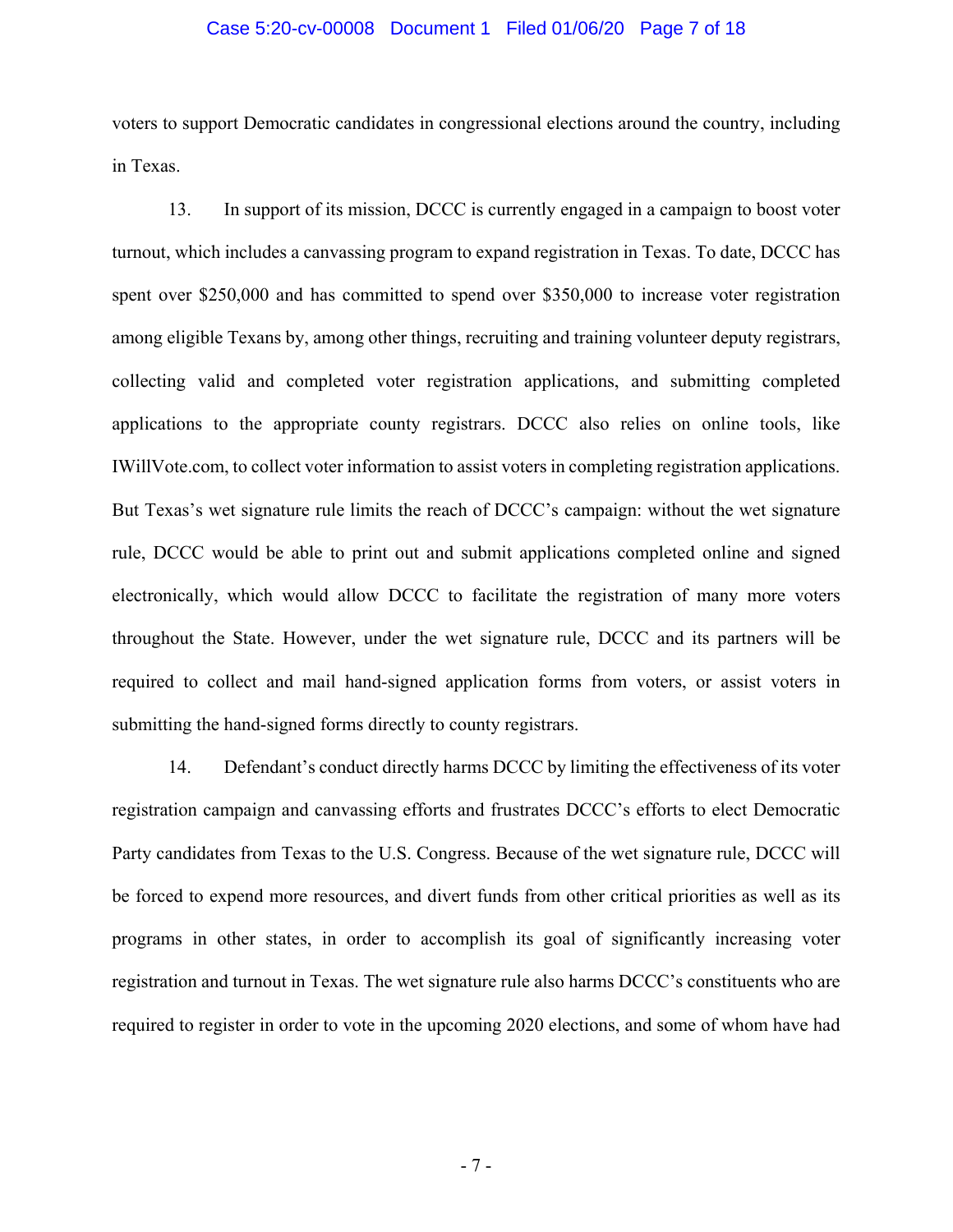### Case 5:20-cv-00008 Document 1 Filed 01/06/20 Page 7 of 18

voters to support Democratic candidates in congressional elections around the country, including in Texas.

13. In support of its mission, DCCC is currently engaged in a campaign to boost voter turnout, which includes a canvassing program to expand registration in Texas. To date, DCCC has spent over \$250,000 and has committed to spend over \$350,000 to increase voter registration among eligible Texans by, among other things, recruiting and training volunteer deputy registrars, collecting valid and completed voter registration applications, and submitting completed applications to the appropriate county registrars. DCCC also relies on online tools, like IWillVote.com, to collect voter information to assist voters in completing registration applications. But Texas's wet signature rule limits the reach of DCCC's campaign: without the wet signature rule, DCCC would be able to print out and submit applications completed online and signed electronically, which would allow DCCC to facilitate the registration of many more voters throughout the State. However, under the wet signature rule, DCCC and its partners will be required to collect and mail hand-signed application forms from voters, or assist voters in submitting the hand-signed forms directly to county registrars.

14. Defendant's conduct directly harms DCCC by limiting the effectiveness of its voter registration campaign and canvassing efforts and frustrates DCCC's efforts to elect Democratic Party candidates from Texas to the U.S. Congress. Because of the wet signature rule, DCCC will be forced to expend more resources, and divert funds from other critical priorities as well as its programs in other states, in order to accomplish its goal of significantly increasing voter registration and turnout in Texas. The wet signature rule also harms DCCC's constituents who are required to register in order to vote in the upcoming 2020 elections, and some of whom have had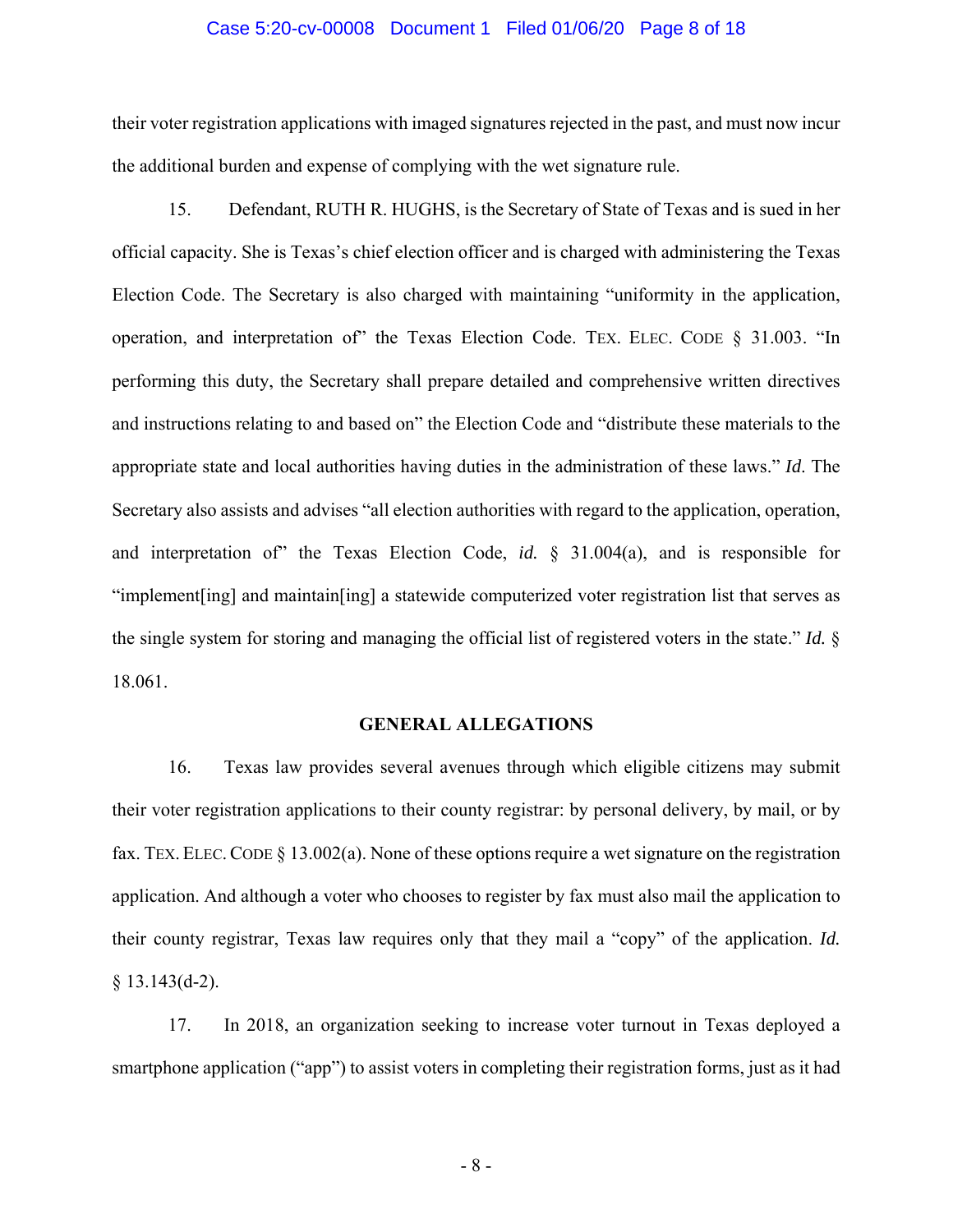#### Case 5:20-cv-00008 Document 1 Filed 01/06/20 Page 8 of 18

their voter registration applications with imaged signatures rejected in the past, and must now incur the additional burden and expense of complying with the wet signature rule.

15. Defendant, RUTH R. HUGHS, is the Secretary of State of Texas and is sued in her official capacity. She is Texas's chief election officer and is charged with administering the Texas Election Code. The Secretary is also charged with maintaining "uniformity in the application, operation, and interpretation of" the Texas Election Code. TEX. ELEC. CODE § 31.003. "In performing this duty, the Secretary shall prepare detailed and comprehensive written directives and instructions relating to and based on" the Election Code and "distribute these materials to the appropriate state and local authorities having duties in the administration of these laws." *Id*. The Secretary also assists and advises "all election authorities with regard to the application, operation, and interpretation of" the Texas Election Code, *id.* § 31.004(a), and is responsible for "implement[ing] and maintain[ing] a statewide computerized voter registration list that serves as the single system for storing and managing the official list of registered voters in the state." *Id.* § 18.061.

### **GENERAL ALLEGATIONS**

16. Texas law provides several avenues through which eligible citizens may submit their voter registration applications to their county registrar: by personal delivery, by mail, or by fax. TEX. ELEC. CODE § 13.002(a). None of these options require a wet signature on the registration application. And although a voter who chooses to register by fax must also mail the application to their county registrar, Texas law requires only that they mail a "copy" of the application. *Id.*  § 13.143(d-2).

17. In 2018, an organization seeking to increase voter turnout in Texas deployed a smartphone application ("app") to assist voters in completing their registration forms, just as it had

- 8 -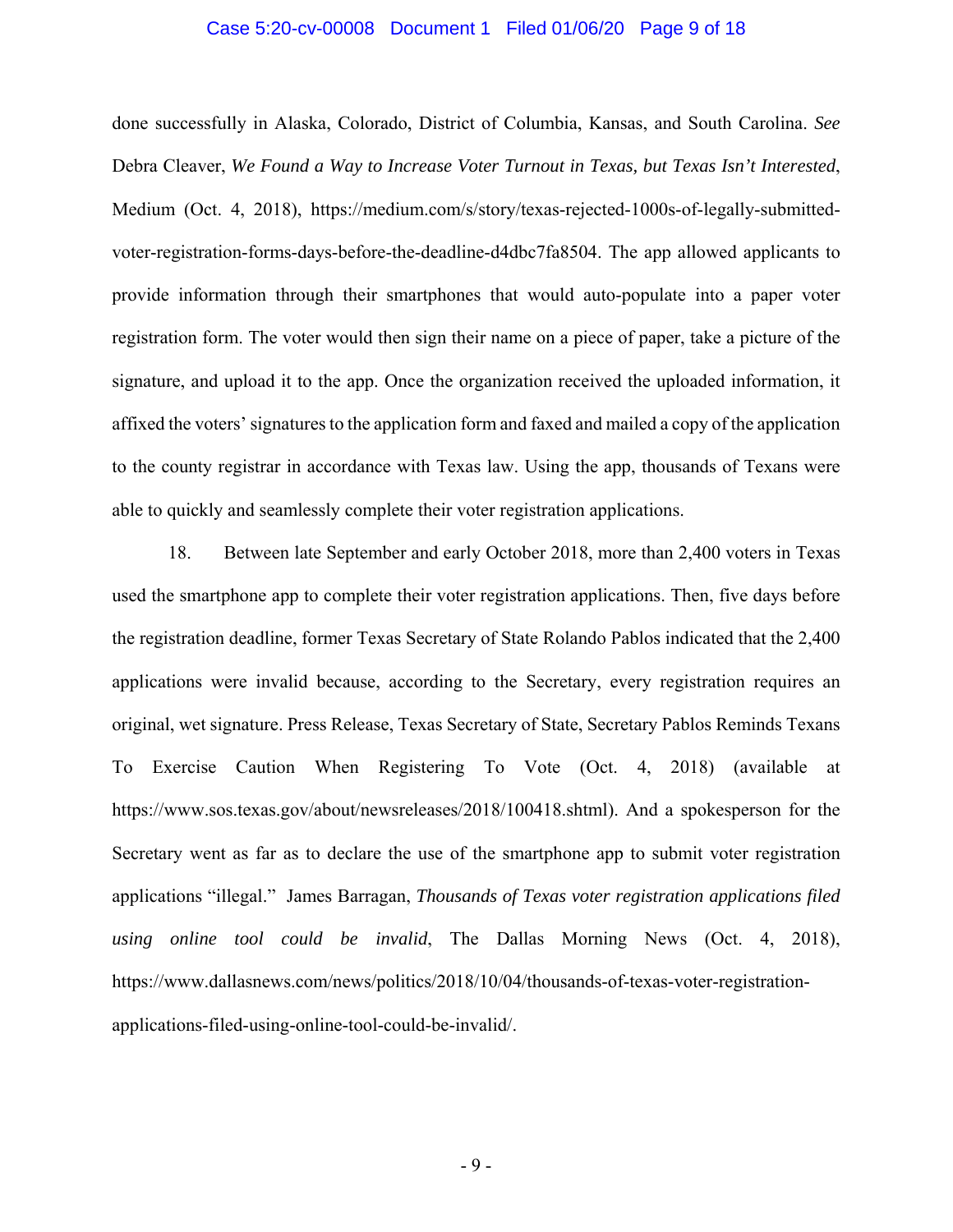#### Case 5:20-cv-00008 Document 1 Filed 01/06/20 Page 9 of 18

done successfully in Alaska, Colorado, District of Columbia, Kansas, and South Carolina. *See* Debra Cleaver, *We Found a Way to Increase Voter Turnout in Texas, but Texas Isn't Interested*, Medium (Oct. 4, 2018), https://medium.com/s/story/texas-rejected-1000s-of-legally-submittedvoter-registration-forms-days-before-the-deadline-d4dbc7fa8504. The app allowed applicants to provide information through their smartphones that would auto-populate into a paper voter registration form. The voter would then sign their name on a piece of paper, take a picture of the signature, and upload it to the app. Once the organization received the uploaded information, it affixed the voters' signatures to the application form and faxed and mailed a copy of the application to the county registrar in accordance with Texas law. Using the app, thousands of Texans were able to quickly and seamlessly complete their voter registration applications.

18. Between late September and early October 2018, more than 2,400 voters in Texas used the smartphone app to complete their voter registration applications. Then, five days before the registration deadline, former Texas Secretary of State Rolando Pablos indicated that the 2,400 applications were invalid because, according to the Secretary, every registration requires an original, wet signature. Press Release, Texas Secretary of State, Secretary Pablos Reminds Texans To Exercise Caution When Registering To Vote (Oct. 4, 2018) (available at https://www.sos.texas.gov/about/newsreleases/2018/100418.shtml). And a spokesperson for the Secretary went as far as to declare the use of the smartphone app to submit voter registration applications "illegal." James Barragan, *Thousands of Texas voter registration applications filed using online tool could be invalid*, The Dallas Morning News (Oct. 4, 2018), https://www.dallasnews.com/news/politics/2018/10/04/thousands-of-texas-voter-registrationapplications-filed-using-online-tool-could-be-invalid/.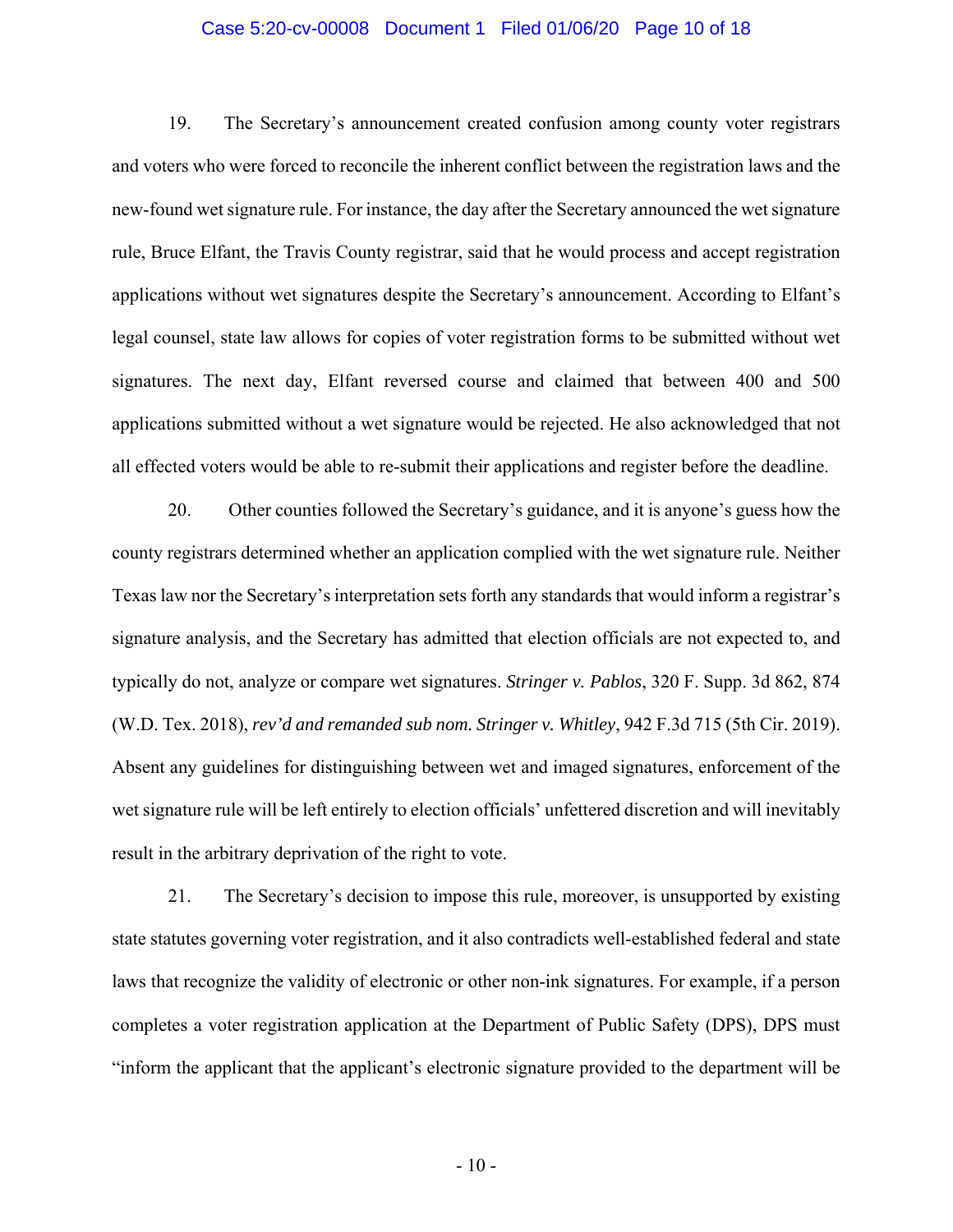### Case 5:20-cv-00008 Document 1 Filed 01/06/20 Page 10 of 18

19. The Secretary's announcement created confusion among county voter registrars and voters who were forced to reconcile the inherent conflict between the registration laws and the new-found wet signature rule. For instance, the day after the Secretary announced the wet signature rule, Bruce Elfant, the Travis County registrar, said that he would process and accept registration applications without wet signatures despite the Secretary's announcement. According to Elfant's legal counsel, state law allows for copies of voter registration forms to be submitted without wet signatures. The next day, Elfant reversed course and claimed that between 400 and 500 applications submitted without a wet signature would be rejected. He also acknowledged that not all effected voters would be able to re-submit their applications and register before the deadline.

20. Other counties followed the Secretary's guidance, and it is anyone's guess how the county registrars determined whether an application complied with the wet signature rule. Neither Texas law nor the Secretary's interpretation sets forth any standards that would inform a registrar's signature analysis, and the Secretary has admitted that election officials are not expected to, and typically do not, analyze or compare wet signatures. *Stringer v. Pablos*, 320 F. Supp. 3d 862, 874 (W.D. Tex. 2018), *rev'd and remanded sub nom. Stringer v. Whitley*, 942 F.3d 715 (5th Cir. 2019). Absent any guidelines for distinguishing between wet and imaged signatures, enforcement of the wet signature rule will be left entirely to election officials' unfettered discretion and will inevitably result in the arbitrary deprivation of the right to vote.

21. The Secretary's decision to impose this rule, moreover, is unsupported by existing state statutes governing voter registration, and it also contradicts well-established federal and state laws that recognize the validity of electronic or other non-ink signatures. For example, if a person completes a voter registration application at the Department of Public Safety (DPS), DPS must "inform the applicant that the applicant's electronic signature provided to the department will be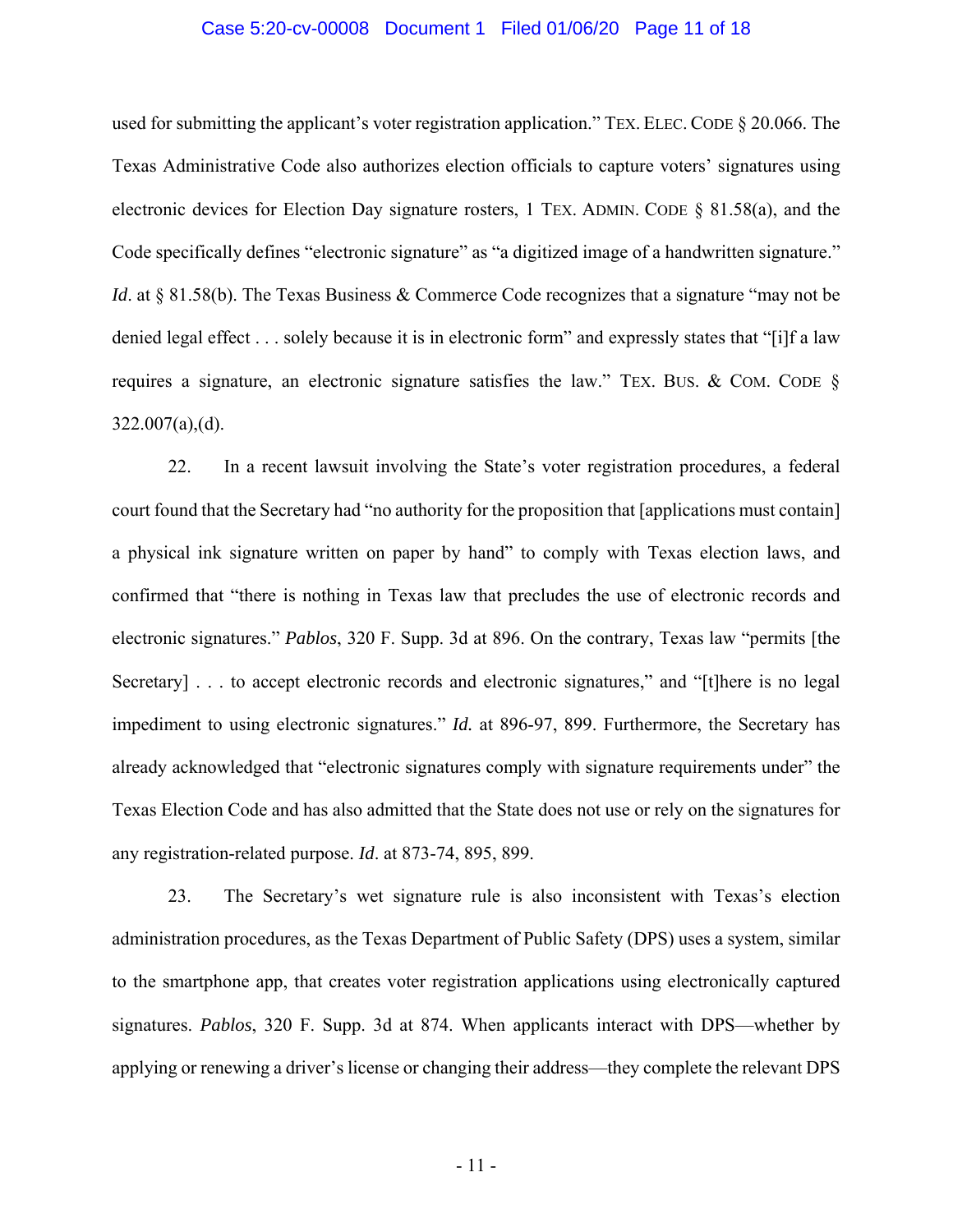### Case 5:20-cv-00008 Document 1 Filed 01/06/20 Page 11 of 18

used for submitting the applicant's voter registration application." TEX. ELEC. CODE § 20.066. The Texas Administrative Code also authorizes election officials to capture voters' signatures using electronic devices for Election Day signature rosters, 1 TEX. ADMIN. CODE  $\S$  81.58(a), and the Code specifically defines "electronic signature" as "a digitized image of a handwritten signature." *Id.* at § 81.58(b). The Texas Business & Commerce Code recognizes that a signature "may not be denied legal effect . . . solely because it is in electronic form" and expressly states that "[i]f a law requires a signature, an electronic signature satisfies the law." TEX. BUS. & COM. CODE § 322.007(a),(d).

22. In a recent lawsuit involving the State's voter registration procedures, a federal court found that the Secretary had "no authority for the proposition that [applications must contain] a physical ink signature written on paper by hand" to comply with Texas election laws, and confirmed that "there is nothing in Texas law that precludes the use of electronic records and electronic signatures." *Pablos*, 320 F. Supp. 3d at 896. On the contrary, Texas law "permits [the Secretary] . . . to accept electronic records and electronic signatures," and "[t] here is no legal impediment to using electronic signatures." *Id.* at 896-97, 899. Furthermore, the Secretary has already acknowledged that "electronic signatures comply with signature requirements under" the Texas Election Code and has also admitted that the State does not use or rely on the signatures for any registration-related purpose. *Id*. at 873-74, 895, 899.

23. The Secretary's wet signature rule is also inconsistent with Texas's election administration procedures, as the Texas Department of Public Safety (DPS) uses a system, similar to the smartphone app, that creates voter registration applications using electronically captured signatures. *Pablos*, 320 F. Supp. 3d at 874. When applicants interact with DPS—whether by applying or renewing a driver's license or changing their address—they complete the relevant DPS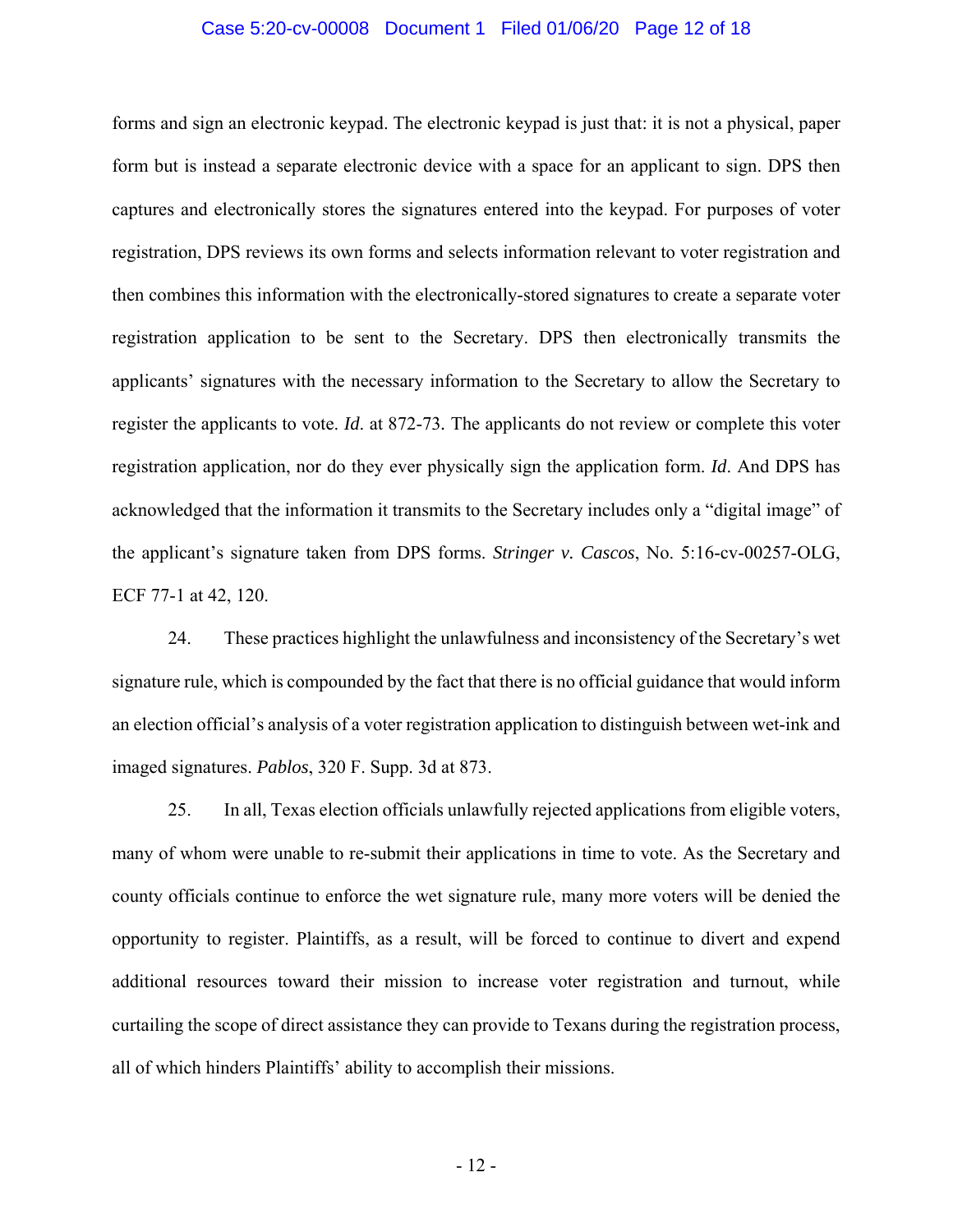### Case 5:20-cv-00008 Document 1 Filed 01/06/20 Page 12 of 18

forms and sign an electronic keypad. The electronic keypad is just that: it is not a physical, paper form but is instead a separate electronic device with a space for an applicant to sign. DPS then captures and electronically stores the signatures entered into the keypad. For purposes of voter registration, DPS reviews its own forms and selects information relevant to voter registration and then combines this information with the electronically-stored signatures to create a separate voter registration application to be sent to the Secretary. DPS then electronically transmits the applicants' signatures with the necessary information to the Secretary to allow the Secretary to register the applicants to vote. *Id*. at 872-73*.* The applicants do not review or complete this voter registration application, nor do they ever physically sign the application form. *Id*. And DPS has acknowledged that the information it transmits to the Secretary includes only a "digital image" of the applicant's signature taken from DPS forms. *Stringer v. Cascos*, No. 5:16-cv-00257-OLG, ECF 77-1 at 42, 120.

24. These practices highlight the unlawfulness and inconsistency of the Secretary's wet signature rule, which is compounded by the fact that there is no official guidance that would inform an election official's analysis of a voter registration application to distinguish between wet-ink and imaged signatures. *Pablos*, 320 F. Supp. 3d at 873.

25. In all, Texas election officials unlawfully rejected applications from eligible voters, many of whom were unable to re-submit their applications in time to vote. As the Secretary and county officials continue to enforce the wet signature rule, many more voters will be denied the opportunity to register. Plaintiffs, as a result, will be forced to continue to divert and expend additional resources toward their mission to increase voter registration and turnout, while curtailing the scope of direct assistance they can provide to Texans during the registration process, all of which hinders Plaintiffs' ability to accomplish their missions.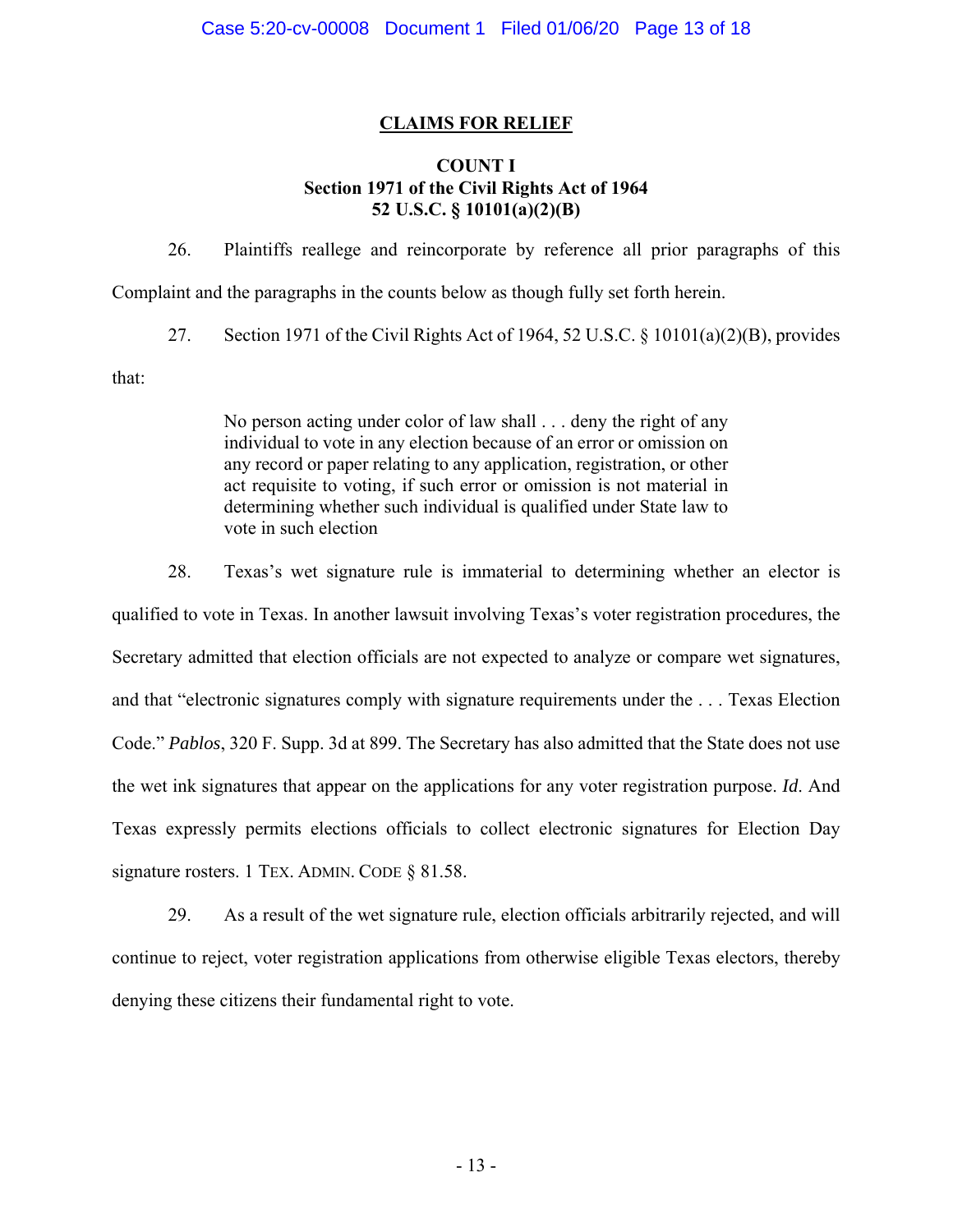# **CLAIMS FOR RELIEF**

# **COUNT I Section 1971 of the Civil Rights Act of 1964 52 U.S.C. § 10101(a)(2)(B)**

26. Plaintiffs reallege and reincorporate by reference all prior paragraphs of this Complaint and the paragraphs in the counts below as though fully set forth herein.

27. Section 1971 of the Civil Rights Act of 1964, 52 U.S.C. § 10101(a)(2)(B), provides

that:

No person acting under color of law shall . . . deny the right of any individual to vote in any election because of an error or omission on any record or paper relating to any application, registration, or other act requisite to voting, if such error or omission is not material in determining whether such individual is qualified under State law to vote in such election

28. Texas's wet signature rule is immaterial to determining whether an elector is qualified to vote in Texas. In another lawsuit involving Texas's voter registration procedures, the Secretary admitted that election officials are not expected to analyze or compare wet signatures, and that "electronic signatures comply with signature requirements under the . . . Texas Election Code." *Pablos*, 320 F. Supp. 3d at 899. The Secretary has also admitted that the State does not use the wet ink signatures that appear on the applications for any voter registration purpose. *Id*. And Texas expressly permits elections officials to collect electronic signatures for Election Day signature rosters. 1 TEX. ADMIN. CODE § 81.58.

29. As a result of the wet signature rule, election officials arbitrarily rejected, and will continue to reject, voter registration applications from otherwise eligible Texas electors, thereby denying these citizens their fundamental right to vote.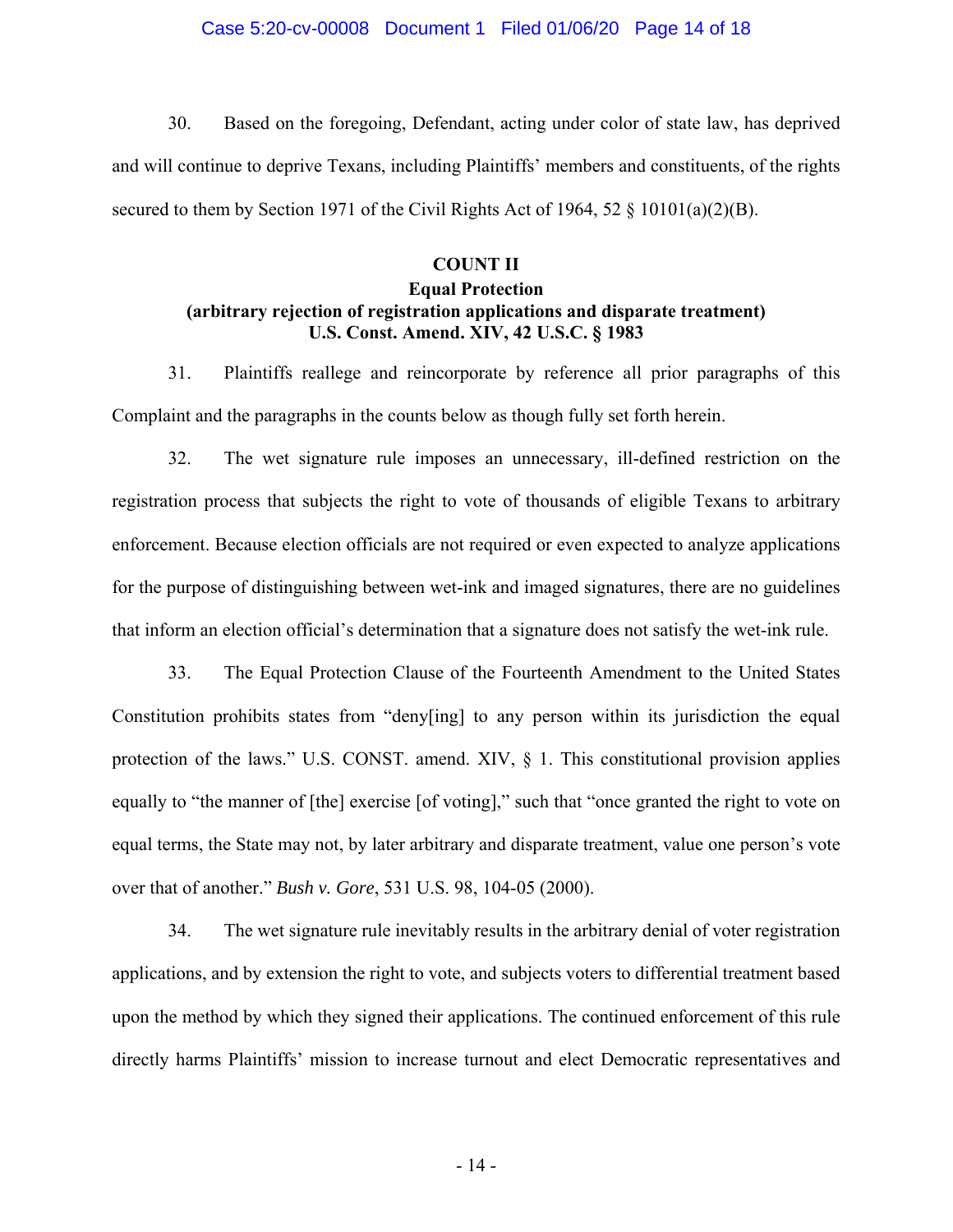### Case 5:20-cv-00008 Document 1 Filed 01/06/20 Page 14 of 18

30. Based on the foregoing, Defendant, acting under color of state law, has deprived and will continue to deprive Texans, including Plaintiffs' members and constituents, of the rights secured to them by Section 1971 of the Civil Rights Act of 1964, 52  $\S$  10101(a)(2)(B).

# **COUNT II Equal Protection (arbitrary rejection of registration applications and disparate treatment) U.S. Const. Amend. XIV, 42 U.S.C. § 1983**

31. Plaintiffs reallege and reincorporate by reference all prior paragraphs of this Complaint and the paragraphs in the counts below as though fully set forth herein.

32. The wet signature rule imposes an unnecessary, ill-defined restriction on the registration process that subjects the right to vote of thousands of eligible Texans to arbitrary enforcement. Because election officials are not required or even expected to analyze applications for the purpose of distinguishing between wet-ink and imaged signatures, there are no guidelines that inform an election official's determination that a signature does not satisfy the wet-ink rule.

33. The Equal Protection Clause of the Fourteenth Amendment to the United States Constitution prohibits states from "deny[ing] to any person within its jurisdiction the equal protection of the laws." U.S. CONST. amend. XIV,  $\S$  1. This constitutional provision applies equally to "the manner of [the] exercise [of voting]," such that "once granted the right to vote on equal terms, the State may not, by later arbitrary and disparate treatment, value one person's vote over that of another." *Bush v. Gore*, 531 U.S. 98, 104-05 (2000).

34. The wet signature rule inevitably results in the arbitrary denial of voter registration applications, and by extension the right to vote, and subjects voters to differential treatment based upon the method by which they signed their applications. The continued enforcement of this rule directly harms Plaintiffs' mission to increase turnout and elect Democratic representatives and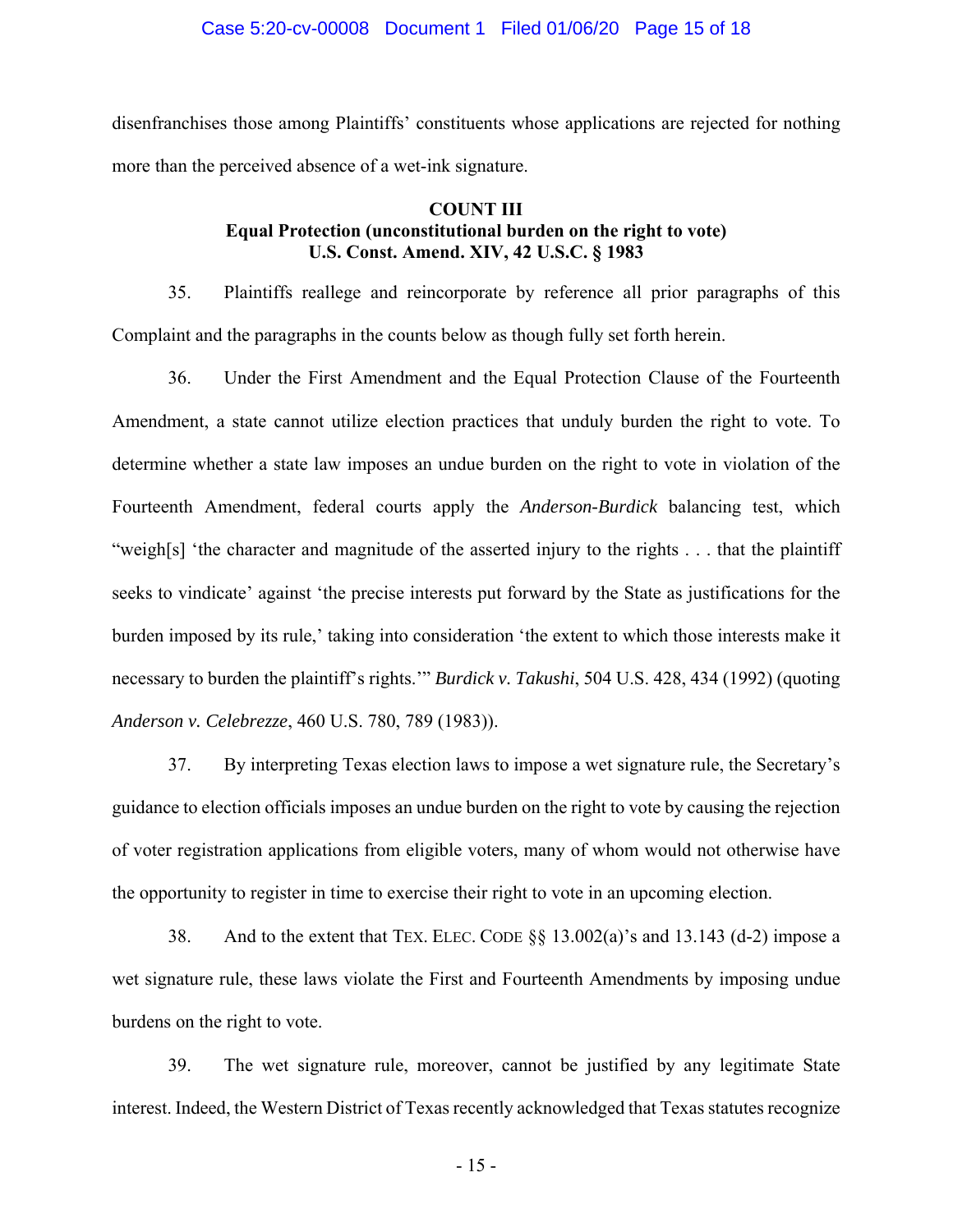disenfranchises those among Plaintiffs' constituents whose applications are rejected for nothing more than the perceived absence of a wet-ink signature.

# **COUNT III Equal Protection (unconstitutional burden on the right to vote) U.S. Const. Amend. XIV, 42 U.S.C. § 1983**

35. Plaintiffs reallege and reincorporate by reference all prior paragraphs of this Complaint and the paragraphs in the counts below as though fully set forth herein.

36. Under the First Amendment and the Equal Protection Clause of the Fourteenth Amendment, a state cannot utilize election practices that unduly burden the right to vote. To determine whether a state law imposes an undue burden on the right to vote in violation of the Fourteenth Amendment, federal courts apply the *Anderson-Burdick* balancing test, which "weigh[s] 'the character and magnitude of the asserted injury to the rights . . . that the plaintiff seeks to vindicate' against 'the precise interests put forward by the State as justifications for the burden imposed by its rule,' taking into consideration 'the extent to which those interests make it necessary to burden the plaintiff's rights.'" *Burdick v. Takushi*, 504 U.S. 428, 434 (1992) (quoting *Anderson v. Celebrezze*, 460 U.S. 780, 789 (1983)).

37. By interpreting Texas election laws to impose a wet signature rule, the Secretary's guidance to election officials imposes an undue burden on the right to vote by causing the rejection of voter registration applications from eligible voters, many of whom would not otherwise have the opportunity to register in time to exercise their right to vote in an upcoming election.

38. And to the extent that TEX. ELEC. CODE  $\S$ § 13.002(a)'s and 13.143 (d-2) impose a wet signature rule, these laws violate the First and Fourteenth Amendments by imposing undue burdens on the right to vote.

39. The wet signature rule, moreover, cannot be justified by any legitimate State interest. Indeed, the Western District of Texas recently acknowledged that Texas statutes recognize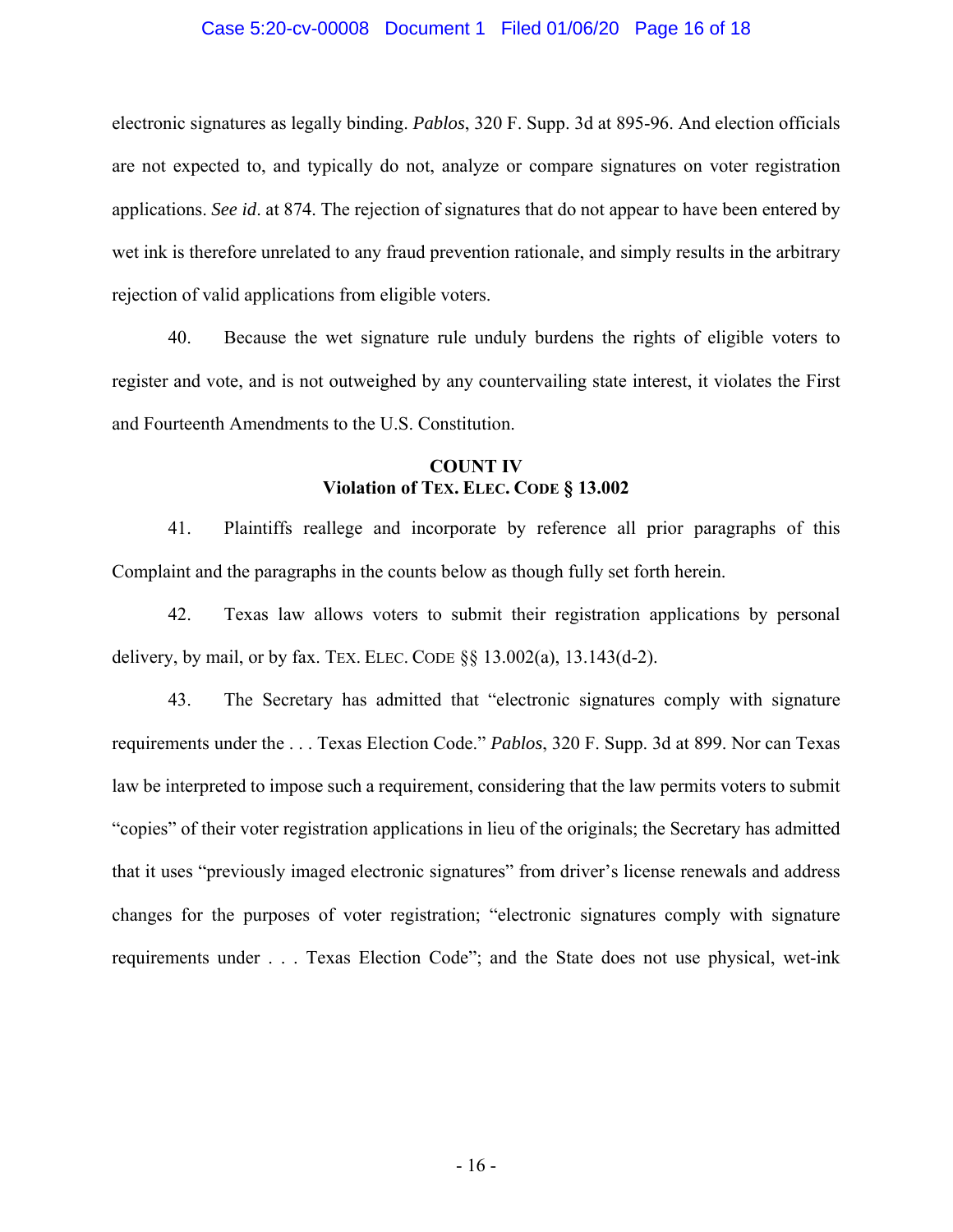### Case 5:20-cv-00008 Document 1 Filed 01/06/20 Page 16 of 18

electronic signatures as legally binding. *Pablos*, 320 F. Supp. 3d at 895-96. And election officials are not expected to, and typically do not, analyze or compare signatures on voter registration applications. *See id*. at 874. The rejection of signatures that do not appear to have been entered by wet ink is therefore unrelated to any fraud prevention rationale, and simply results in the arbitrary rejection of valid applications from eligible voters.

40. Because the wet signature rule unduly burdens the rights of eligible voters to register and vote, and is not outweighed by any countervailing state interest, it violates the First and Fourteenth Amendments to the U.S. Constitution.

# **COUNT IV Violation of TEX. ELEC. CODE § 13.002**

41. Plaintiffs reallege and incorporate by reference all prior paragraphs of this Complaint and the paragraphs in the counts below as though fully set forth herein.

42. Texas law allows voters to submit their registration applications by personal delivery, by mail, or by fax. TEX. ELEC. CODE  $\S$ § 13.002(a), 13.143(d-2).

43. The Secretary has admitted that "electronic signatures comply with signature requirements under the . . . Texas Election Code." *Pablos*, 320 F. Supp. 3d at 899. Nor can Texas law be interpreted to impose such a requirement, considering that the law permits voters to submit "copies" of their voter registration applications in lieu of the originals; the Secretary has admitted that it uses "previously imaged electronic signatures" from driver's license renewals and address changes for the purposes of voter registration; "electronic signatures comply with signature requirements under . . . Texas Election Code"; and the State does not use physical, wet-ink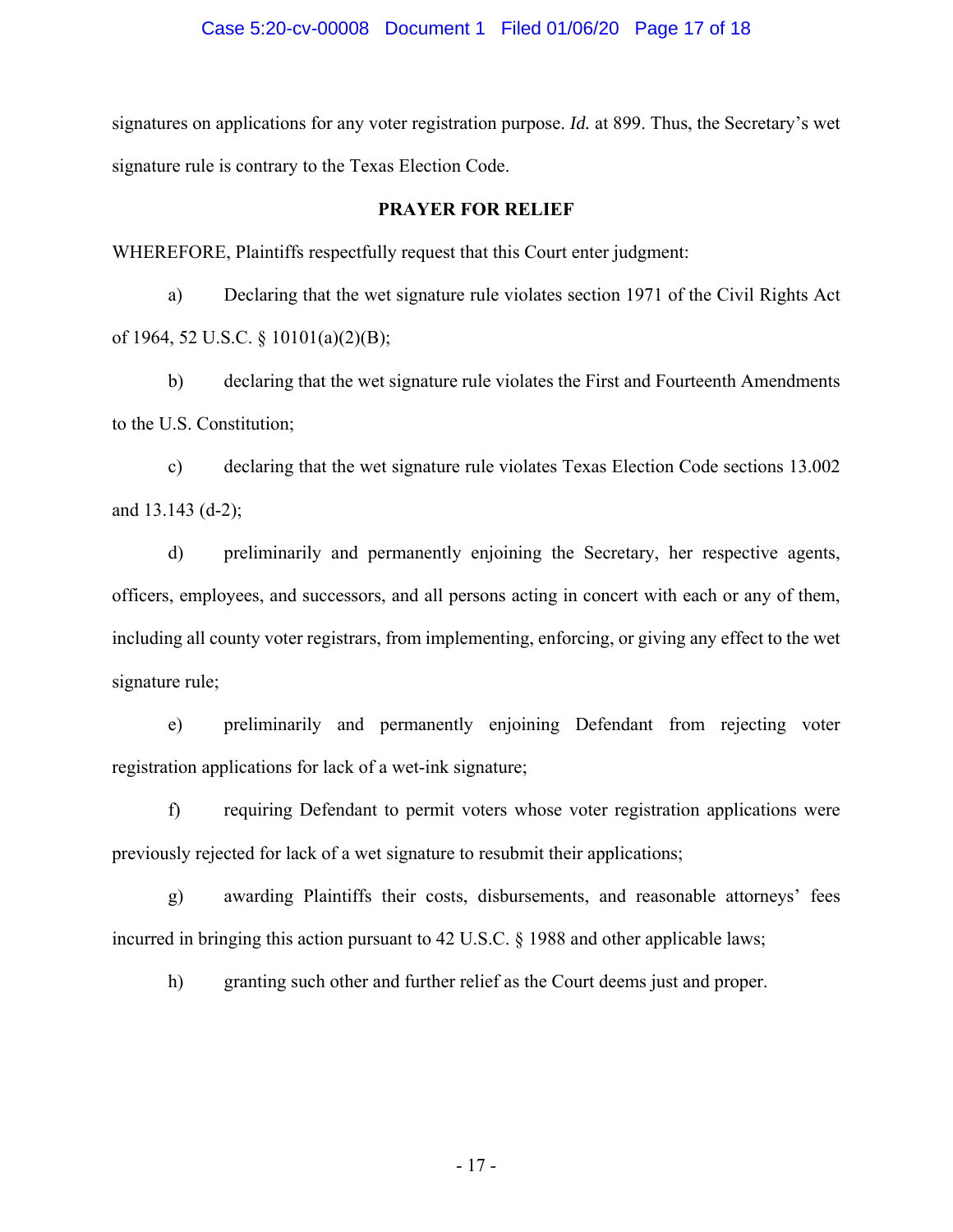signatures on applications for any voter registration purpose. *Id.* at 899. Thus, the Secretary's wet signature rule is contrary to the Texas Election Code.

## **PRAYER FOR RELIEF**

WHEREFORE, Plaintiffs respectfully request that this Court enter judgment:

a) Declaring that the wet signature rule violates section 1971 of the Civil Rights Act of 1964, 52 U.S.C. § 10101(a)(2)(B);

b) declaring that the wet signature rule violates the First and Fourteenth Amendments to the U.S. Constitution;

c) declaring that the wet signature rule violates Texas Election Code sections 13.002 and 13.143 (d-2);

d) preliminarily and permanently enjoining the Secretary, her respective agents, officers, employees, and successors, and all persons acting in concert with each or any of them, including all county voter registrars, from implementing, enforcing, or giving any effect to the wet signature rule;

e) preliminarily and permanently enjoining Defendant from rejecting voter registration applications for lack of a wet-ink signature;

f) requiring Defendant to permit voters whose voter registration applications were previously rejected for lack of a wet signature to resubmit their applications;

g) awarding Plaintiffs their costs, disbursements, and reasonable attorneys' fees incurred in bringing this action pursuant to 42 U.S.C. § 1988 and other applicable laws;

h) granting such other and further relief as the Court deems just and proper.